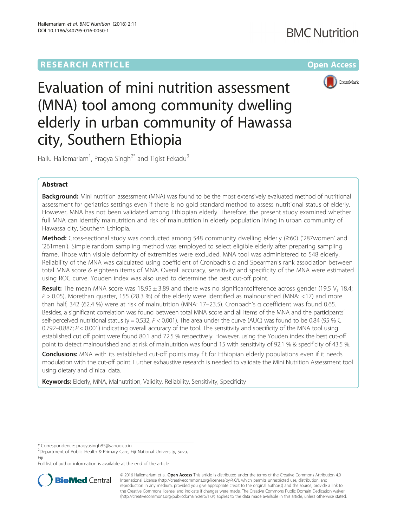

Evaluation of mini nutrition assessment (MNA) tool among community dwelling elderly in urban community of Hawassa city, Southern Ethiopia

Hailu Hailemariam<sup>1</sup>, Pragya Singh<sup>2\*</sup> and Tigist Fekadu<sup>3</sup>

# Abstract

Background: Mini nutrition assessment (MNA) was found to be the most extensively evaluated method of nutritional assessment for geriatrics settings even if there is no gold standard method to assess nutritional status of elderly. However, MNA has not been validated among Ethiopian elderly. Therefore, the present study examined whether full MNA can identify malnutrition and risk of malnutrition in elderly population living in urban community of Hawassa city, Southern Ethiopia.

Method: Cross-sectional study was conducted among 548 community dwelling elderly (≥60) ('287women' and '261men'). Simple random sampling method was employed to select eligible elderly after preparing sampling frame. Those with visible deformity of extremities were excluded. MNA tool was administered to 548 elderly. Reliability of the MNA was calculated using coefficient of Cronbach's α and Spearman's rank association between total MNA score & eighteen items of MNA. Overall accuracy, sensitivity and specificity of the MNA were estimated using ROC curve. Youden index was also used to determine the best cut-off point.

**Result:** The mean MNA score was 18.95  $\pm$  3.89 and there was no significantdifference across gender (19.5 V<sub>s</sub> 18.4;  $P > 0.05$ ). Morethan quarter, 155 (28.3 %) of the elderly were identified as malnourished (MNA: <17) and more than half, 342 (62.4 %) were at risk of malnutrition (MNA: 17–23.5). Cronbach's α coefficient was found 0.65. Besides, a significant correlation was found between total MNA score and all items of the MNA and the participants' self-perceived nutritional status ( $y = 0.532$ ,  $P < 0.001$ ). The area under the curve (AUC) was found to be 0.84 (95 % CI 0.792–0.887;  $P < 0.001$ ) indicating overall accuracy of the tool. The sensitivity and specificity of the MNA tool using established cut off point were found 80.1 and 72.5 % respectively. However, using the Youden index the best cut-off point to detect malnourished and at risk of malnutrition was found 15 with sensitivity of 92.1 % & specificity of 43.5 %.

**Conclusions:** MNA with its established cut-off points may fit for Ethiopian elderly populations even if it needs modulation with the cut-off point. Further exhaustive research is needed to validate the Mini Nutrition Assessment tool using dietary and clinical data.

Keywords: Elderly, MNA, Malnutrition, Validity, Reliability, Sensitivity, Specificity

Full list of author information is available at the end of the article



© 2016 Hailemariam et al. Open Access This article is distributed under the terms of the Creative Commons Attribution 4.0 International License [\(http://creativecommons.org/licenses/by/4.0/](http://creativecommons.org/licenses/by/4.0/)), which permits unrestricted use, distribution, and reproduction in any medium, provided you give appropriate credit to the original author(s) and the source, provide a link to the Creative Commons license, and indicate if changes were made. The Creative Commons Public Domain Dedication waiver [\(http://creativecommons.org/publicdomain/zero/1.0/](http://creativecommons.org/publicdomain/zero/1.0/)) applies to the data made available in this article, unless otherwise stated.

<sup>\*</sup> Correspondence: [pragyasingh85@yahoo.co.in](mailto:pragyasingh85@yahoo.co.in) <sup>2</sup>

<sup>&</sup>lt;sup>2</sup> Department of Public Health & Primary Care, Fiji National University, Suva, Fiji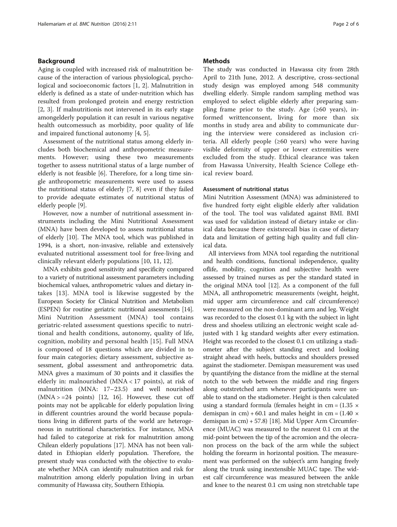# Background

Aging is coupled with increased risk of malnutrition because of the interaction of various physiological, psychological and socioeconomic factors [[1, 2](#page-4-0)]. Malnutrition in elderly is defined as a state of under-nutrition which has resulted from prolonged protein and energy restriction [[2, 3\]](#page-4-0). If malnutritionis not intervened in its early stage amongelderly population it can result in various negative health outcomessuch as morbidity, poor quality of life and impaired functional autonomy [\[4](#page-4-0), [5](#page-4-0)].

Assessment of the nutritional status among elderly includes both biochemical and anthropometric measurements. However; using these two measurements together to assess nutritional status of a large number of elderly is not feasible [[6](#page-4-0)]. Therefore, for a long time single anthropometric measurements were used to assess the nutritional status of elderly [\[7](#page-4-0), [8](#page-4-0)] even if they failed to provide adequate estimates of nutritional status of elderly people [[9\]](#page-4-0).

However, now a number of nutritional assessment instruments including the Mini Nutritional Assessment (MNA) have been developed to assess nutritional status of elderly [[10\]](#page-4-0). The MNA tool, which was published in 1994, is a short, non-invasive, reliable and extensively evaluated nutritional assessment tool for free-living and clinically relevant elderly populations [\[10, 11, 12\]](#page-4-0).

MNA exhibits good sensitivity and specificity compared to a variety of nutritional assessment parameters including biochemical values, anthropometric values and dietary intakes [[13\]](#page-4-0). MNA tool is likewise suggested by the European Society for Clinical Nutrition and Metabolism (ESPEN) for routine geriatric nutritional assessments [\[14](#page-4-0)]. Mini Nutrition Assessment (MNA) tool contains geriatric-related assessment questions specific to nutritional and health conditions, autonomy, quality of life, cognition, mobility and personal health [[15\]](#page-4-0). Full MNA is composed of 18 questions which are divided in to four main categories; dietary assessment, subjective assessment, global assessment and anthropometric data. MNA gives a maximum of 30 points and it classifies the elderly in: malnourished (MNA < 17 points), at risk of malnutrition (MNA: 17–23.5) and well nourished  $(MNA > = 24$  points) [\[12, 16\]](#page-4-0). However, these cut off points may not be applicable for elderly population living in different countries around the world because populations living in different parts of the world are heterogeneous in nutritional characteristics. For instance, MNA had failed to categorize at risk for malnutrition among Chilean elderly populations [[17](#page-4-0)]. MNA has not been validated in Ethiopian elderly population. Therefore, the present study was conducted with the objective to evaluate whether MNA can identify malnutrition and risk for malnutrition among elderly population living in urban community of Hawassa city, Southern Ethiopia.

### Methods

The study was conducted in Hawassa city from 28th April to 21th June, 2012. A descriptive, cross-sectional study design was employed among 548 community dwelling elderly. Simple random sampling method was employed to select eligible elderly after preparing sampling frame prior to the study. Age  $(\geq 60 \text{ years})$ , informed writtenconsent, living for more than six months in study area and ability to communicate during the interview were considered as inclusion criteria. All elderly people (≥60 years) who were having visible deformity of upper or lower extremities were excluded from the study. Ethical clearance was taken from Hawassa University, Health Science College ethical review board.

## Assessment of nutritional status

Mini Nutrition Assessment (MNA) was administered to five hundred forty eight eligible elderly after validation of the tool. The tool was validated against BMI. BMI was used for validation instead of dietary intake or clinical data because there existsrecall bias in case of dietary data and limitation of getting high quality and full clinical data.

All interviews from MNA tool regarding the nutritional and health conditions, functional independence, quality oflife, mobility, cognition and subjective health were assessed by trained nurses as per the standard stated in the original MNA tool [[12](#page-4-0)]. As a component of the full MNA, all anthropometric measurements (weight, height, mid upper arm circumference and calf circumference) were measured on the non-dominant arm and leg. Weight was recorded to the closest 0.1 kg with the subject in light dress and shoeless utilizing an electronic weight scale adjusted with 1 kg standard weights after every estimation. Height was recorded to the closest 0.1 cm utilizing a stadiometer after the subject standing erect and looking straight ahead with heels, buttocks and shoulders pressed against the stadiometer. Demispan measurement was used by quantifying the distance from the midline at the sternal notch to the web between the middle and ring fingers along outstretched arm whenever participants were unable to stand on the stadiometer. Height is then calculated using a standard formula (females height in  $cm = (1.35 \times$ demispan in cm) + 60.1 and males height in cm =  $(1.40 \times$ demispan in cm) + 57.8) [\[18](#page-4-0)]. Mid Upper Arm Circumference (MUAC) was measured to the nearest 0.1 cm at the mid-point between the tip of the acromion and the olecranon process on the back of the arm while the subject holding the forearm in horizontal position. The measurement was performed on the subject's arm hanging freely along the trunk using inextensible MUAC tape. The widest calf circumference was measured between the ankle and knee to the nearest 0.1 cm using non stretchable tape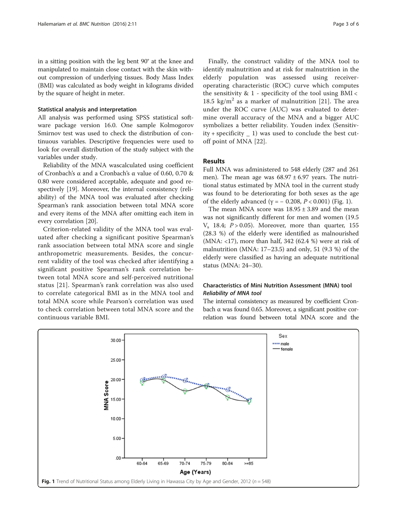in a sitting position with the leg bent 90° at the knee and manipulated to maintain close contact with the skin without compression of underlying tissues. Body Mass Index (BMI) was calculated as body weight in kilograms divided by the square of height in meter.

### Statistical analysis and interpretation

All analysis was performed using SPSS statistical software package version 16.0. One sample Kolmogorov Smirnov test was used to check the distribution of continuous variables. Descriptive frequencies were used to look for overall distribution of the study subject with the variables under study.

Reliability of the MNA wascalculated using coefficient of Cronbach's α and a Cronbach's α value of 0.60, 0.70 & 0.80 were considered acceptable, adequate and good respectively [\[19](#page--1-0)]. Moreover, the internal consistency (reliability) of the MNA tool was evaluated after checking Spearman's rank association between total MNA score and every items of the MNA after omitting each item in every correlation [[20\]](#page--1-0).

Criterion-related validity of the MNA tool was evaluated after checking a significant positive Spearman's rank association between total MNA score and single anthropometric measurements. Besides, the concurrent validity of the tool was checked after identifying a significant positive Spearman's rank correlation between total MNA score and self-perceived nutritional status [\[21\]](#page--1-0). Spearman's rank correlation was also used to correlate categorical BMI as in the MNA tool and total MNA score while Pearson's correlation was used to check correlation between total MNA score and the continuous variable BMI.

Finally, the construct validity of the MNA tool to identify malnutrition and at risk for malnutrition in the elderly population was assessed using receiveroperating characteristic (ROC) curve which computes the sensitivity  $& 1$  - specificity of the tool using BMI < 18.5 kg/m<sup>2</sup> as a marker of malnutrition [[21\]](#page--1-0). The area under the ROC curve (AUC) was evaluated to determine overall accuracy of the MNA and a bigger AUC symbolizes a better reliability. Youden index (Sensitivity + specificity  $\qquad 1)$  was used to conclude the best cutoff point of MNA [[22\]](#page--1-0).

# Results

Full MNA was administered to 548 elderly (287 and 261 men). The mean age was  $68.97 \pm 6.97$  years. The nutritional status estimated by MNA tool in the current study was found to be deteriorating for both sexes as the age of the elderly advanced ( $γ = -0.208, P < 0.001$ ) (Fig. 1).

The mean MNA score was  $18.95 \pm 3.89$  and the mean was not significantly different for men and women (19.5  $V_s$  18.4;  $P > 0.05$ ). Moreover, more than quarter, 155 (28.3 %) of the elderly were identified as malnourished (MNA: <17), more than half, 342 (62.4 %) were at risk of malnutrition (MNA: 17–23.5) and only, 51 (9.3 %) of the elderly were classified as having an adequate nutritional status (MNA: 24–30).

# Characteristics of Mini Nutrition Assessment (MNA) tool Reliability of MNA tool

The internal consistency as measured by coefficient Cronbach α was found 0.65. Moreover, a significant positive correlation was found between total MNA score and the

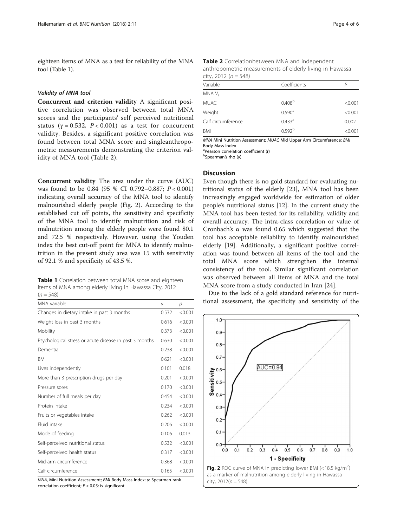eighteen items of MNA as a test for reliability of the MNA tool (Table 1).

#### Validity of MNA tool

Concurrent and criterion validity A significant positive correlation was observed between total MNA scores and the participants' self perceived nutritional status ( $\gamma = 0.532$ ,  $P < 0.001$ ) as a test for concurrent validity. Besides, a significant positive correlation was found between total MNA score and singleanthropometric measurements demonstrating the criterion validity of MNA tool (Table 2).

Concurrent validity The area under the curve (AUC) was found to be 0.84 (95 % CI 0.792–0.887; P < 0.001) indicating overall accuracy of the MNA tool to identify malnourished elderly people (Fig. 2). According to the established cut off points, the sensitivity and specificity of the MNA tool to identify malnutrition and risk of malnutrition among the elderly people were found 80.1 and 72.5 % respectively. However, using the Youden index the best cut-off point for MNA to identify malnutrition in the present study area was 15 with sensitivity of 92.1 % and specificity of 43.5 %.

Table 1 Correlation between total MNA score and eighteen items of MNA among elderly living in Hawassa City, 2012

 $(n = 548)$ 

| MNA variable                                           | γ     | $\mathcal{D}$ |
|--------------------------------------------------------|-------|---------------|
| Changes in dietary intake in past 3 months             | 0.532 | < 0.001       |
| Weight loss in past 3 months                           |       | < 0.001       |
| Mobility                                               | 0.373 | < 0.001       |
| Psychological stress or acute disease in past 3 months | 0.630 | < 0.001       |
| Dementia                                               | 0.238 | < 0.001       |
| <b>BMI</b>                                             | 0.621 | < 0.001       |
| Lives independently                                    | 0.101 | 0.018         |
| More than 3 prescription drugs per day                 | 0.201 | < 0.001       |
| Pressure sores                                         | 0.170 | < 0.001       |
| Number of full meals per day                           | 0.454 | < 0.001       |
| Protein intake                                         |       | < 0.001       |
| Fruits or vegetables intake                            |       | < 0.001       |
| Fluid intake                                           |       | < 0.001       |
| Mode of feeding                                        |       | 0.013         |
| Self-perceived nutritional status                      |       | < 0.001       |
| Self-perceived health status                           |       | < 0.001       |
| Mid-arm circumference                                  |       | < 0.001       |
| Calf circumference                                     | 0.165 | < 0.001       |

MNA, Mini Nutrition Assessment; BMI Body Mass Index; γ: Spearman rank correlation coefficient;  $P < 0.05$ : is significant

| Table 2 Correlationbetween MNA and independent           |
|----------------------------------------------------------|
| anthropometric measurements of elderly living in Hawassa |
| city, 2012 $(n = 548)$                                   |

| Variable           | Coefficients         | P       |
|--------------------|----------------------|---------|
| MNA V <sub>s</sub> |                      |         |
| <b>MUAC</b>        | 0.408 <sup>b</sup>   | < 0.001 |
| Weight             | 0.590 <sup>a</sup>   | < 0.001 |
| Calf circumference | $0.433$ <sup>a</sup> | 0.002   |
| BMI                | 0.592 <sup>b</sup>   | < 0.001 |

MNA Mini Nutrition Assessment; MUAC Mid Upper Arm Circumference; BMI Body Mass Index

a Pearson correlation coefficient (r)

bSpearman's rho (γ)

### **Discussion**

Even though there is no gold standard for evaluating nutritional status of the elderly [[23\]](#page--1-0), MNA tool has been increasingly engaged worldwide for estimation of older people's nutritional status [\[12\]](#page-4-0). In the current study the MNA tool has been tested for its reliability, validity and overall accuracy. The intra-class correlation or value of Cronbach's α was found 0.65 which suggested that the tool has acceptable reliability to identify malnourished elderly [\[19](#page--1-0)]. Additionally, a significant positive correlation was found between all items of the tool and the total MNA score which strengthen the internal consistency of the tool. Similar significant correlation was observed between all items of MNA and the total MNA score from a study conducted in Iran [[24\]](#page--1-0).

Due to the lack of a gold standard reference for nutritional assessment, the specificity and sensitivity of the

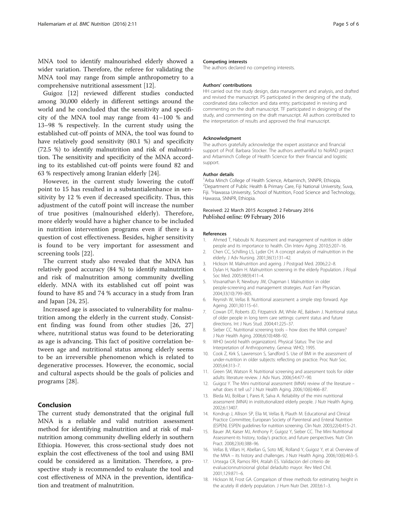<span id="page-4-0"></span>MNA tool to identify malnourished elderly showed a wider variation. Therefore, the referee for validating the MNA tool may range from simple anthropometry to a comprehensive nutritional assessment [12].

Guigoz [12] reviewed different studies conducted among 30,000 elderly in different settings around the world and he concluded that the sensitivity and specificity of the MNA tool may range from 41–100 % and 13–98 % respectively. In the current study using the established cut-off points of MNA, the tool was found to have relatively good sensitivity (80.1 %) and specificity (72.5 %) to identify malnutrition and risk of malnutrition. The sensitivity and specificity of the MNA according to its established cut-off points were found 82 and 63 % respectively among Iranian elderly [[24\]](#page--1-0).

However, in the current study lowering the cutoff point to 15 has resulted in a substantialenhance in sensitivity by 12 % even if decreased specificity. Thus, this adjustment of the cutoff point will increase the number of true positives (malnourished elderly). Therefore, more elderly would have a higher chance to be included in nutrition intervention programs even if there is a question of cost effectiveness. Besides, higher sensitivity is found to be very important for assessment and screening tools [[22\]](#page--1-0).

The current study also revealed that the MNA has relatively good accuracy (84 %) to identify malnutrition and risk of malnutrition among community dwelling elderly. MNA with its established cut off point was found to have 85 and 74 % accuracy in a study from Iran and Japan [\[24, 25\]](#page--1-0).

Increased age is associated to vulnerability for malnutrition among the elderly in the current study. Consistent finding was found from other studies [[26, 27](#page--1-0)] where, nutritional status was found to be deteriorating as age is advancing. This fact of positive correlation between age and nutritional status among elderly seems to be an irreversible phenomenon which is related to degenerative processes. However, the economic, social and cultural aspects should be the goals of policies and programs [\[28](#page--1-0)].

# Conclusion

The current study demonstrated that the original full MNA is a reliable and valid nutrition assessment method for identifying malnutrition and at risk of malnutrition among community dwelling elderly in southern Ethiopia. However, this cross-sectional study does not explain the cost effectiveness of the tool and using BMI could be considered as a limitation. Therefore, a prospective study is recommended to evaluate the tool and cost effectiveness of MNA in the prevention, identification and treatment of malnutrition.

#### Competing interests

The authors declared no competing interests.

#### Authors' contributions

HH carried out the study design, data management and analysis, and drafted and revised the manuscript. PS participated in the designing of the study, coordinated data collection and data entry; participated in revising and commenting on the draft manuscript. TF participated in designing of the study, and commenting on the draft manuscript. All authors contributed to the interpretation of results and approved the final manuscript.

#### Acknowledgment

The authors gratefully acknowledge the expert assistance and financial support of Prof. Barbara Stocker. The authors arethankful to NoRAD project and Arbaminch College of Health Science for their financial and logistic support.

#### Author details

<sup>1</sup> Arba Minch College of Health Science, Arbaminch, SNNPR, Ethiopia. <sup>2</sup> Department of Public Health & Primary Care, Fiji National University, Suva Fiji. <sup>3</sup> Hawassa University, School of Nutrition, Food Science and Technology Hawassa, SNNPR, Ethiopia.

### Received: 22 March 2015 Accepted: 2 February 2016 Published online: 09 February 2016

#### References

- 1. Ahmed T, Haboubi N. Assessment and management of nutrition in older people and its importance to health. Clin Interv Aging. 2010;5:207–16.
- 2. Chen CC, Schilling LS, Lyder CH. A concept analysis of malnutrition in the elderly. J Adv Nursing. 2001;36(1):131–42.
- 3. Hickson M. Malnutrition and ageing. J Postgrad Med. 2006;2:2–8.
- 4. Dylan H, Nadim H. Malnutrition screening in the elderly Population. J Royal Soc Med. 2005;98(9):411–4.
- 5. Visvanathan R, Newbury JW, Chapman I. Malnutrition in older people-screening and management strategies. Aust Fam Physician. 2004;33(10):799–805.
- 6. Reynish W, Vellas B. Nutritional assessment: a simple step forward. Age Ageing. 2001;30:115–61.
- 7. Cowan DT, Roberts JD, Fitzpatrick JM, While AE, Baldwin J. Nutritional status of older people in long term care settings: current status and future directions. Int J Nurs Stud. 2004;41:225–37.
- 8. Sieber CC. Nutritional screening tools how does the MNA compare? J Nutr Health Aging. 2006;6(10):488–92.
- 9. WHO (world health organization). Physical Status: The Use and Interpretation of Anthropometry. Geneva: WHO; 1995.
- 10. Cook Z, Kirk S, Lawrenson S, Sandford S. Use of BMI in the assessment of under-nutrition in older subjects: reflecting on practice. Proc Nutr Soc. 2005;64:313–7.
- 11. Green SM, Watson R. Nutritional screening and assessment tools for older adults: literature review. J Adv Nurs. 2006;54:477–90.
- 12. Guigoz Y. The Mini nutritional assessment (MNA) review of the literature what does it tell us? J Nutr Health Aging. 2006;10(6):466–87.
- 13. Bleda MJ, Bolibar I, Pares R, Salva A. Reliability of the mini nutritional assessment (MNA) in institutionalized elderly people. J Nutr Health Aging. 2002;6:13407.
- 14. Kondrup J, Allison SP, Elia M, Vellas B, Plauth M. Educational and Clinical Practice Committee, European Society of Parenteral and Enteral Nutrition (ESPEN). ESPEN guidelines for nutrition screening. Clin Nutr. 2003;22(4):415–21.
- 15. Bauer JM, Kaiser MJ, Anthony P, Guigoz Y, Sieber CC. The Mini Nutritional Assessment-its history, today's practice, and future perspectives. Nutr Clin Pract. 2008;23(4):388–96.
- 16. Vellas B, Villars H, Abellan G, Soto ME, Rolland Y, Guigoz Y, et al. Overview of the MNA – its history and challenges. J Nutr Health Aging. 2006;10(6):463–5.
- 17. Urteaga CR, Ramos RIH, Atalah ES. Validacion del criterio de evaluacionnutrioional global deladulto mayor. Rev Med Chil. 2001;129:871–6.
- 18. Hickson M, Frost GA. Comparison of three methods for estimating height in the acutely ill elderly population. J Hum Nutr Diet. 2003;6:1–3.